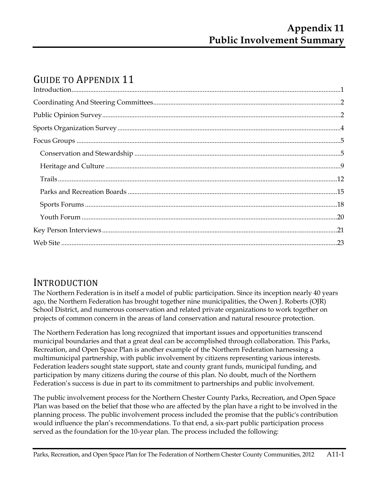# GUIDE TO APPENDIX 11

## INTRODUCTION

The Northern Federation is in itself a model of public participation. Since its inception nearly 40 years ago, the Northern Federation has brought together nine municipalities, the Owen J. Roberts (OJR) School District, and numerous conservation and related private organizations to work together on projects of common concern in the areas of land conservation and natural resource protection.

The Northern Federation has long recognized that important issues and opportunities transcend municipal boundaries and that a great deal can be accomplished through collaboration. This Parks, Recreation, and Open Space Plan is another example of the Northern Federation harnessing a multimunicipal partnership, with public involvement by citizens representing various interests. Federation leaders sought state support, state and county grant funds, municipal funding, and participation by many citizens during the course of this plan. No doubt, much of the Northern Federation's success is due in part to its commitment to partnerships and public involvement.

The public involvement process for the Northern Chester County Parks, Recreation, and Open Space Plan was based on the belief that those who are affected by the plan have a right to be involved in the planning process. The public involvement process included the promise that the public's contribution would influence the plan's recommendations. To that end, a six-part public participation process served as the foundation for the 10-year plan. The process included the following: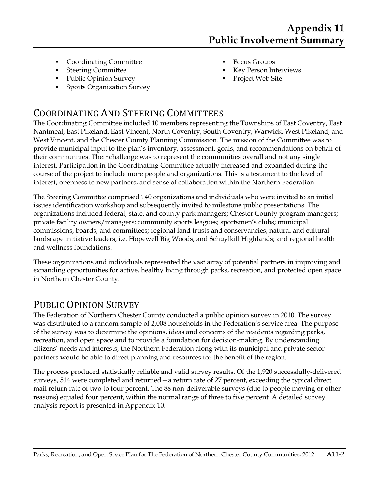- Coordinating Committee
- **Steering Committee**
- Public Opinion Survey
- Sports Organization Survey
- Focus Groups
- Key Person Interviews
- Project Web Site

## COORDINATING AND STEERING COMMITTEES

The Coordinating Committee included 10 members representing the Townships of East Coventry, East Nantmeal, East Pikeland, East Vincent, North Coventry, South Coventry, Warwick, West Pikeland, and West Vincent, and the Chester County Planning Commission. The mission of the Committee was to provide municipal input to the plan's inventory, assessment, goals, and recommendations on behalf of their communities. Their challenge was to represent the communities overall and not any single interest. Participation in the Coordinating Committee actually increased and expanded during the course of the project to include more people and organizations. This is a testament to the level of interest, openness to new partners, and sense of collaboration within the Northern Federation.

The Steering Committee comprised 140 organizations and individuals who were invited to an initial issues identification workshop and subsequently invited to milestone public presentations. The organizations included federal, state, and county park managers; Chester County program managers; private facility owners/managers; community sports leagues; sportsmen's clubs; municipal commissions, boards, and committees; regional land trusts and conservancies; natural and cultural landscape initiative leaders, i.e. Hopewell Big Woods, and Schuylkill Highlands; and regional health and wellness foundations.

These organizations and individuals represented the vast array of potential partners in improving and expanding opportunities for active, healthy living through parks, recreation, and protected open space in Northern Chester County.

# PUBLIC OPINION SURVEY

The Federation of Northern Chester County conducted a public opinion survey in 2010. The survey was distributed to a random sample of 2,008 households in the Federation's service area. The purpose of the survey was to determine the opinions, ideas and concerns of the residents regarding parks, recreation, and open space and to provide a foundation for decision-making. By understanding citizens' needs and interests, the Northern Federation along with its municipal and private sector partners would be able to direct planning and resources for the benefit of the region.

The process produced statistically reliable and valid survey results. Of the 1,920 successfully-delivered surveys, 514 were completed and returned—a return rate of 27 percent, exceeding the typical direct mail return rate of two to four percent. The 88 non-deliverable surveys (due to people moving or other reasons) equaled four percent, within the normal range of three to five percent. A detailed survey analysis report is presented in Appendix 10.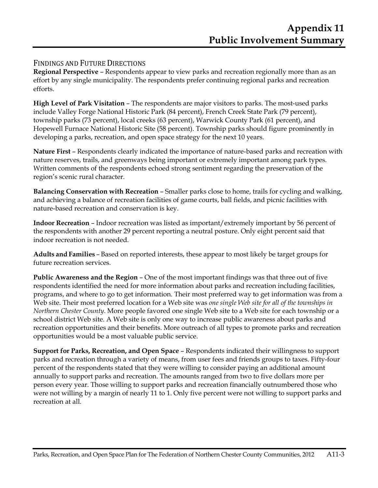## FINDINGS AND FUTURE DIRECTIONS

**Regional Perspective** – Respondents appear to view parks and recreation regionally more than as an effort by any single municipality. The respondents prefer continuing regional parks and recreation efforts.

**High Level of Park Visitation** – The respondents are major visitors to parks. The most-used parks include Valley Forge National Historic Park (84 percent), French Creek State Park (79 percent), township parks (73 percent), local creeks (63 percent), Warwick County Park (61 percent), and Hopewell Furnace National Historic Site (58 percent). Township parks should figure prominently in developing a parks, recreation, and open space strategy for the next 10 years.

**Nature First** – Respondents clearly indicated the importance of nature-based parks and recreation with nature reserves, trails, and greenways being important or extremely important among park types. Written comments of the respondents echoed strong sentiment regarding the preservation of the region's scenic rural character.

**Balancing Conservation with Recreation** – Smaller parks close to home, trails for cycling and walking, and achieving a balance of recreation facilities of game courts, ball fields, and picnic facilities with nature-based recreation and conservation is key.

**Indoor Recreation** – Indoor recreation was listed as important/extremely important by 56 percent of the respondents with another 29 percent reporting a neutral posture. Only eight percent said that indoor recreation is not needed.

**Adults and Families** – Based on reported interests, these appear to most likely be target groups for future recreation services.

**Public Awareness and the Region** – One of the most important findings was that three out of five respondents identified the need for more information about parks and recreation including facilities, programs, and where to go to get information. Their most preferred way to get information was from a Web site. Their most preferred location for a Web site was *one single Web site for all of the townships in Northern Chester County*. More people favored one single Web site to a Web site for each township or a school district Web site. A Web site is only one way to increase public awareness about parks and recreation opportunities and their benefits. More outreach of all types to promote parks and recreation opportunities would be a most valuable public service.

**Support for Parks, Recreation, and Open Space** – Respondents indicated their willingness to support parks and recreation through a variety of means, from user fees and friends groups to taxes. Fifty-four percent of the respondents stated that they were willing to consider paying an additional amount annually to support parks and recreation. The amounts ranged from two to five dollars more per person every year. Those willing to support parks and recreation financially outnumbered those who were not willing by a margin of nearly 11 to 1. Only five percent were not willing to support parks and recreation at all.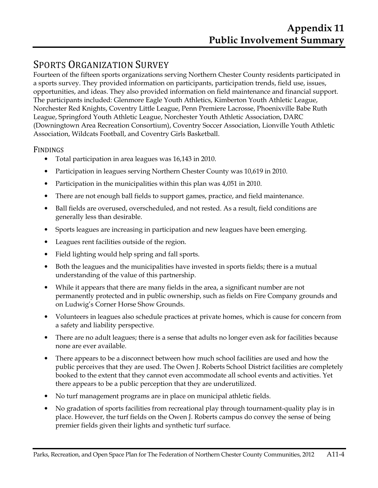# SPORTS ORGANIZATION SURVEY

Fourteen of the fifteen sports organizations serving Northern Chester County residents participated in a sports survey. They provided information on participants, participation trends, field use, issues, opportunities, and ideas. They also provided information on field maintenance and financial support. The participants included: Glenmore Eagle Youth Athletics, Kimberton Youth Athletic League, Norchester Red Knights, Coventry Little League, Penn Premiere Lacrosse, Phoenixville Babe Ruth League, Springford Youth Athletic League, Norchester Youth Athletic Association, DARC (Downingtown Area Recreation Consortium), Coventry Soccer Association, Lionville Youth Athletic Association, Wildcats Football, and Coventry Girls Basketball.

## FINDINGS

- Total participation in area leagues was 16,143 in 2010.
- Participation in leagues serving Northern Chester County was 10,619 in 2010.
- Participation in the municipalities within this plan was 4,051 in 2010.
- There are not enough ball fields to support games, practice, and field maintenance.
- Ball fields are overused, overscheduled, and not rested. As a result, field conditions are generally less than desirable.
- Sports leagues are increasing in participation and new leagues have been emerging.
- Leagues rent facilities outside of the region.
- Field lighting would help spring and fall sports.
- Both the leagues and the municipalities have invested in sports fields; there is a mutual understanding of the value of this partnership.
- While it appears that there are many fields in the area, a significant number are not permanently protected and in public ownership, such as fields on Fire Company grounds and on Ludwig's Corner Horse Show Grounds.
- Volunteers in leagues also schedule practices at private homes, which is cause for concern from a safety and liability perspective.
- There are no adult leagues; there is a sense that adults no longer even ask for facilities because none are ever available.
- There appears to be a disconnect between how much school facilities are used and how the public perceives that they are used. The Owen J. Roberts School District facilities are completely booked to the extent that they cannot even accommodate all school events and activities. Yet there appears to be a public perception that they are underutilized.
- No turf management programs are in place on municipal athletic fields.
- No gradation of sports facilities from recreational play through tournament-quality play is in place. However, the turf fields on the Owen J. Roberts campus do convey the sense of being premier fields given their lights and synthetic turf surface.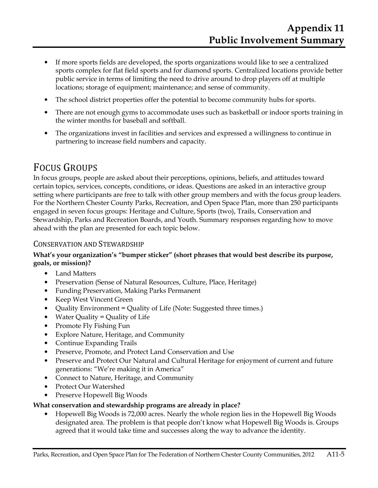- If more sports fields are developed, the sports organizations would like to see a centralized sports complex for flat field sports and for diamond sports. Centralized locations provide better public service in terms of limiting the need to drive around to drop players off at multiple locations; storage of equipment; maintenance; and sense of community.
- The school district properties offer the potential to become community hubs for sports.
- There are not enough gyms to accommodate uses such as basketball or indoor sports training in the winter months for baseball and softball.
- The organizations invest in facilities and services and expressed a willingness to continue in partnering to increase field numbers and capacity.

## FOCUS GROUPS

In focus groups, people are asked about their perceptions, opinions, beliefs, and attitudes toward certain topics, services, concepts, conditions, or ideas. Questions are asked in an interactive group setting where participants are free to talk with other group members and with the focus group leaders. For the Northern Chester County Parks, Recreation, and Open Space Plan, more than 250 participants engaged in seven focus groups: Heritage and Culture, Sports (two), Trails, Conservation and Stewardship, Parks and Recreation Boards, and Youth. Summary responses regarding how to move ahead with the plan are presented for each topic below.

## CONSERVATION AND STEWARDSHIP

#### **What's your organization's "bumper sticker" (short phrases that would best describe its purpose, goals, or mission)?**

- Land Matters
- Preservation (Sense of Natural Resources, Culture, Place, Heritage)
- Funding Preservation, Making Parks Permanent
- Keep West Vincent Green
- Quality Environment = Quality of Life (Note: Suggested three times.)
- Water Quality  $=$  Quality of Life
- Promote Fly Fishing Fun
- Explore Nature, Heritage, and Community
- Continue Expanding Trails
- Preserve, Promote, and Protect Land Conservation and Use
- Preserve and Protect Our Natural and Cultural Heritage for enjoyment of current and future generations: "We're making it in America"
- Connect to Nature, Heritage, and Community
- Protect Our Watershed
- Preserve Hopewell Big Woods

## **What conservation and stewardship programs are already in place?**

• Hopewell Big Woods is 72,000 acres. Nearly the whole region lies in the Hopewell Big Woods designated area. The problem is that people don't know what Hopewell Big Woods is. Groups agreed that it would take time and successes along the way to advance the identity.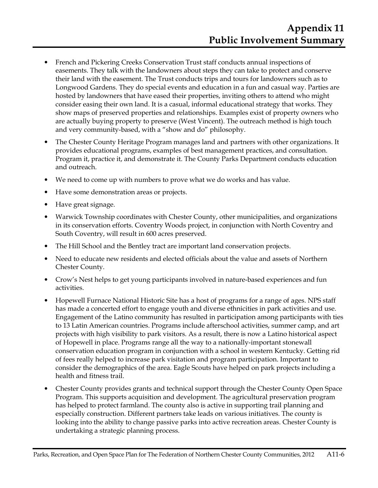- French and Pickering Creeks Conservation Trust staff conducts annual inspections of easements. They talk with the landowners about steps they can take to protect and conserve their land with the easement. The Trust conducts trips and tours for landowners such as to Longwood Gardens. They do special events and education in a fun and casual way. Parties are hosted by landowners that have eased their properties, inviting others to attend who might consider easing their own land. It is a casual, informal educational strategy that works. They show maps of preserved properties and relationships. Examples exist of property owners who are actually buying property to preserve (West Vincent). The outreach method is high touch and very community-based, with a "show and do" philosophy.
- The Chester County Heritage Program manages land and partners with other organizations. It provides educational programs, examples of best management practices, and consultation. Program it, practice it, and demonstrate it. The County Parks Department conducts education and outreach.
- We need to come up with numbers to prove what we do works and has value.
- Have some demonstration areas or projects.
- Have great signage.
- Warwick Township coordinates with Chester County, other municipalities, and organizations in its conservation efforts. Coventry Woods project, in conjunction with North Coventry and South Coventry, will result in 600 acres preserved.
- The Hill School and the Bentley tract are important land conservation projects.
- Need to educate new residents and elected officials about the value and assets of Northern Chester County.
- Crow's Nest helps to get young participants involved in nature-based experiences and fun activities.
- Hopewell Furnace National Historic Site has a host of programs for a range of ages. NPS staff has made a concerted effort to engage youth and diverse ethnicities in park activities and use. Engagement of the Latino community has resulted in participation among participants with ties to 13 Latin American countries. Programs include afterschool activities, summer camp, and art projects with high visibility to park visitors. As a result, there is now a Latino historical aspect of Hopewell in place. Programs range all the way to a nationally-important stonewall conservation education program in conjunction with a school in western Kentucky. Getting rid of fees really helped to increase park visitation and program participation. Important to consider the demographics of the area. Eagle Scouts have helped on park projects including a health and fitness trail.
- Chester County provides grants and technical support through the Chester County Open Space Program. This supports acquisition and development. The agricultural preservation program has helped to protect farmland. The county also is active in supporting trail planning and especially construction. Different partners take leads on various initiatives. The county is looking into the ability to change passive parks into active recreation areas. Chester County is undertaking a strategic planning process.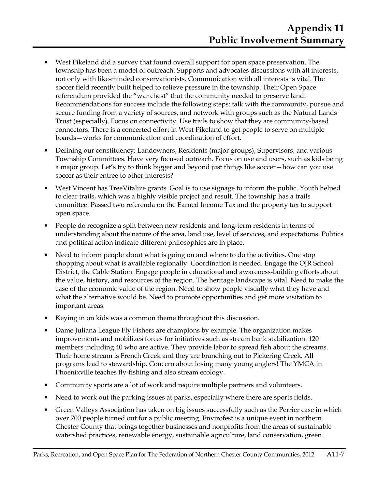- West Pikeland did a survey that found overall support for open space preservation. The township has been a model of outreach. Supports and advocates discussions with all interests, not only with like-minded conservationists. Communication with all interests is vital. The soccer field recently built helped to relieve pressure in the township. Their Open Space referendum provided the "war chest" that the community needed to preserve land. Recommendations for success include the following steps: talk with the community, pursue and secure funding from a variety of sources, and network with groups such as the Natural Lands Trust (especially). Focus on connectivity. Use trails to show that they are community-based connectors. There is a concerted effort in West Pikeland to get people to serve on multiple boards—works for communication and coordination of effort.
- Defining our constituency: Landowners, Residents (major groups), Supervisors, and various Township Committees. Have very focused outreach. Focus on use and users, such as kids being a major group. Let's try to think bigger and beyond just things like soccer—how can you use soccer as their entree to other interests?
- West Vincent has TreeVitalize grants. Goal is to use signage to inform the public. Youth helped to clear trails, which was a highly visible project and result. The township has a trails committee. Passed two referenda on the Earned Income Tax and the property tax to support open space.
- People do recognize a split between new residents and long-term residents in terms of understanding about the nature of the area, land use, level of services, and expectations. Politics and political action indicate different philosophies are in place.
- Need to inform people about what is going on and where to do the activities. One stop shopping about what is available regionally. Coordination is needed. Engage the OJR School District, the Cable Station. Engage people in educational and awareness-building efforts about the value, history, and resources of the region. The heritage landscape is vital. Need to make the case of the economic value of the region. Need to show people visually what they have and what the alternative would be. Need to promote opportunities and get more visitation to important areas.
- Keying in on kids was a common theme throughout this discussion.
- Dame Juliana League Fly Fishers are champions by example. The organization makes improvements and mobilizes forces for initiatives such as stream bank stabilization. 120 members including 40 who are active. They provide labor to spread fish about the streams. Their home stream is French Creek and they are branching out to Pickering Creek. All programs lead to stewardship. Concern about losing many young anglers! The YMCA in Phoenixville teaches fly-fishing and also stream ecology.
- Community sports are a lot of work and require multiple partners and volunteers.
- Need to work out the parking issues at parks, especially where there are sports fields.
- Green Valleys Association has taken on big issues successfully such as the Perrier case in which over 700 people turned out for a public meeting. Envirofest is a unique event in northern Chester County that brings together businesses and nonprofits from the areas of sustainable watershed practices, renewable energy, sustainable agriculture, land conservation, green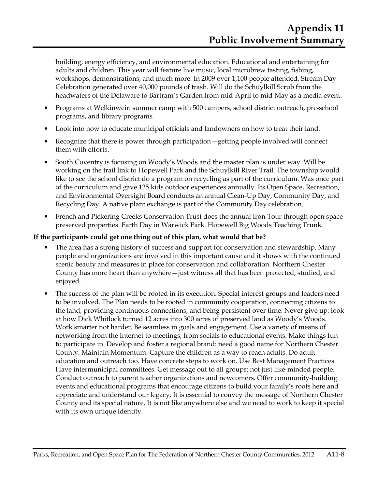building, energy efficiency, and environmental education. Educational and entertaining for adults and children. This year will feature live music, local microbrew tasting, fishing, workshops, demonstrations, and much more. In 2009 over 1,100 people attended. Stream Day Celebration generated over 40,000 pounds of trash. Will do the Schuylkill Scrub from the headwaters of the Delaware to Bartram's Garden from mid-April to mid-May as a media event.

- Programs at Welkinweir: summer camp with 500 campers, school district outreach, pre-school programs, and library programs.
- Look into how to educate municipal officials and landowners on how to treat their land.
- Recognize that there is power through participation—getting people involved will connect them with efforts.
- South Coventry is focusing on Woody's Woods and the master plan is under way. Will be working on the trail link to Hopewell Park and the Schuylkill River Trail. The township would like to see the school district do a program on recycling as part of the curriculum. Was once part of the curriculum and gave 125 kids outdoor experiences annually. Its Open Space, Recreation, and Environmental Oversight Board conducts an annual Clean-Up Day, Community Day, and Recycling Day. A native plant exchange is part of the Community Day celebration.
- French and Pickering Creeks Conservation Trust does the annual Iron Tour through open space preserved properties. Earth Day in Warwick Park. Hopewell Big Woods Teaching Trunk.

## **If the participants could get one thing out of this plan, what would that be?**

- The area has a strong history of success and support for conservation and stewardship. Many people and organizations are involved in this important cause and it shows with the continued scenic beauty and measures in place for conservation and collaboration. Northern Chester County has more heart than anywhere—just witness all that has been protected, studied, and enjoyed.
- The success of the plan will be rooted in its execution. Special interest groups and leaders need to be involved. The Plan needs to be rooted in community cooperation, connecting citizens to the land, providing continuous connections, and being persistent over time. Never give up: look at how Dick Whitlock turned 12 acres into 300 acres of preserved land as Woody's Woods. Work smarter not harder. Be seamless in goals and engagement. Use a variety of means of networking from the Internet to meetings, from socials to educational events. Make things fun to participate in. Develop and foster a regional brand: need a good name for Northern Chester County. Maintain Momentum. Capture the children as a way to reach adults. Do adult education and outreach too. Have concrete steps to work on. Use Best Management Practices. Have intermunicipal committees. Get message out to all groups: not just like-minded people. Conduct outreach to parent teacher organizations and newcomers. Offer community-building events and educational programs that encourage citizens to build your family's roots here and appreciate and understand our legacy. It is essential to convey the message of Northern Chester County and its special nature. It is not like anywhere else and we need to work to keep it special with its own unique identity.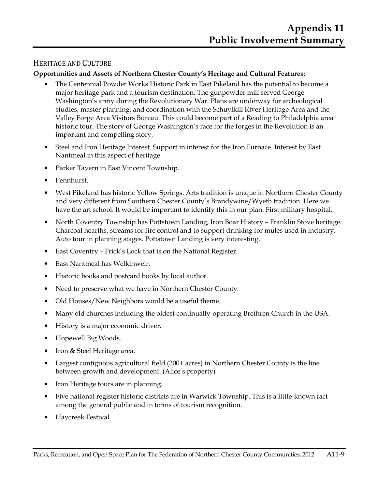## HERITAGE AND CULTURE

## **Opportunities and Assets of Northern Chester County's Heritage and Cultural Features:**

- The Centennial Powder Works Historic Park in East Pikeland has the potential to become a major heritage park and a tourism destination. The gunpowder mill served George Washington's army during the Revolutionary War. Plans are underway for archeological studies, master planning, and coordination with the Schuylkill River Heritage Area and the Valley Forge Area Visitors Bureau. This could become part of a Reading to Philadelphia area historic tour. The story of George Washington's race for the forges in the Revolution is an important and compelling story.
- Steel and Iron Heritage Interest. Support in interest for the Iron Furnace. Interest by East Nantmeal in this aspect of heritage.
- Parker Tavern in East Vincent Township.
- Pennhurst.
- West Pikeland has historic Yellow Springs. Arts tradition is unique in Northern Chester County and very different from Southern Chester County's Brandywine/Wyeth tradition. Here we have the art school. It would be important to identify this in our plan. First military hospital.
- North Coventry Township has Pottstown Landing, Iron Boar History Franklin Stove heritage. Charcoal hearths, streams for fire control and to support drinking for mules used in industry. Auto tour in planning stages. Pottstown Landing is very interesting.
- East Coventry Frick's Lock that is on the National Register.
- East Nantmeal has Welkinweir.
- Historic books and postcard books by local author.
- Need to preserve what we have in Northern Chester County.
- Old Houses/New Neighbors would be a useful theme.
- Many old churches including the oldest continually-operating Brethren Church in the USA.
- History is a major economic driver.
- Hopewell Big Woods.
- Iron & Steel Heritage area.
- Largest contiguous agricultural field (300+ acres) in Northern Chester County is the line between growth and development. (Alice's property)
- Iron Heritage tours are in planning.
- Five national register historic districts are in Warwick Township. This is a little-known fact among the general public and in terms of tourism recognition.
- Haycreek Festival.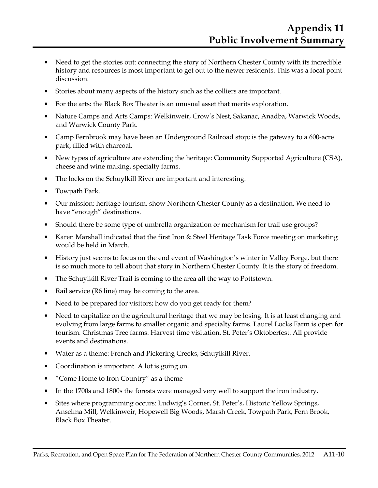- Need to get the stories out: connecting the story of Northern Chester County with its incredible history and resources is most important to get out to the newer residents. This was a focal point discussion.
- Stories about many aspects of the history such as the colliers are important.
- For the arts: the Black Box Theater is an unusual asset that merits exploration.
- Nature Camps and Arts Camps: Welkinweir, Crow's Nest, Sakanac, Anadba, Warwick Woods, and Warwick County Park.
- Camp Fernbrook may have been an Underground Railroad stop; is the gateway to a 600-acre park, filled with charcoal.
- New types of agriculture are extending the heritage: Community Supported Agriculture (CSA), cheese and wine making, specialty farms.
- The locks on the Schuylkill River are important and interesting.
- Towpath Park.
- Our mission: heritage tourism, show Northern Chester County as a destination. We need to have "enough" destinations.
- Should there be some type of umbrella organization or mechanism for trail use groups?
- Karen Marshall indicated that the first Iron & Steel Heritage Task Force meeting on marketing would be held in March.
- History just seems to focus on the end event of Washington's winter in Valley Forge, but there is so much more to tell about that story in Northern Chester County. It is the story of freedom.
- The Schuylkill River Trail is coming to the area all the way to Pottstown.
- Rail service (R6 line) may be coming to the area.
- Need to be prepared for visitors; how do you get ready for them?
- Need to capitalize on the agricultural heritage that we may be losing. It is at least changing and evolving from large farms to smaller organic and specialty farms. Laurel Locks Farm is open for tourism. Christmas Tree farms. Harvest time visitation. St. Peter's Oktoberfest. All provide events and destinations.
- Water as a theme: French and Pickering Creeks, Schuylkill River.
- Coordination is important. A lot is going on.
- "Come Home to Iron Country" as a theme
- In the 1700s and 1800s the forests were managed very well to support the iron industry.
- Sites where programming occurs: Ludwig's Corner, St. Peter's, Historic Yellow Springs, Anselma Mill, Welkinweir, Hopewell Big Woods, Marsh Creek, Towpath Park, Fern Brook, Black Box Theater.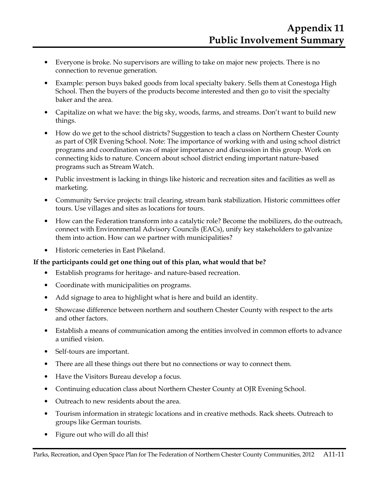- Everyone is broke. No supervisors are willing to take on major new projects. There is no connection to revenue generation.
- Example: person buys baked goods from local specialty bakery. Sells them at Conestoga High School. Then the buyers of the products become interested and then go to visit the specialty baker and the area.
- Capitalize on what we have: the big sky, woods, farms, and streams. Don't want to build new things.
- How do we get to the school districts? Suggestion to teach a class on Northern Chester County as part of OJR Evening School. Note: The importance of working with and using school district programs and coordination was of major importance and discussion in this group. Work on connecting kids to nature. Concern about school district ending important nature-based programs such as Stream Watch.
- Public investment is lacking in things like historic and recreation sites and facilities as well as marketing.
- Community Service projects: trail clearing, stream bank stabilization. Historic committees offer tours. Use villages and sites as locations for tours.
- How can the Federation transform into a catalytic role? Become the mobilizers, do the outreach, connect with Environmental Advisory Councils (EACs), unify key stakeholders to galvanize them into action. How can we partner with municipalities?
- Historic cemeteries in East Pikeland.

#### **If the participants could get one thing out of this plan, what would that be?**

- Establish programs for heritage- and nature-based recreation.
- Coordinate with municipalities on programs.
- Add signage to area to highlight what is here and build an identity.
- Showcase difference between northern and southern Chester County with respect to the arts and other factors.
- Establish a means of communication among the entities involved in common efforts to advance a unified vision.
- Self-tours are important.
- There are all these things out there but no connections or way to connect them.
- Have the Visitors Bureau develop a focus.
- Continuing education class about Northern Chester County at OJR Evening School.
- Outreach to new residents about the area.
- Tourism information in strategic locations and in creative methods. Rack sheets. Outreach to groups like German tourists.
- Figure out who will do all this!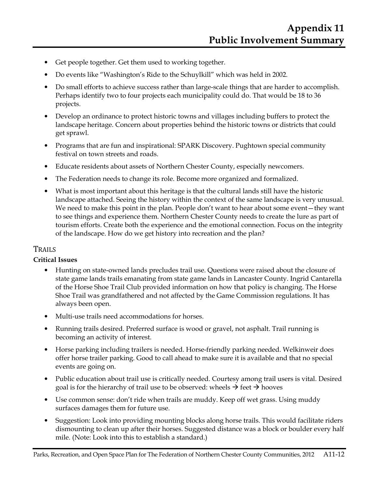- Get people together. Get them used to working together.
- Do events like "Washington's Ride to the Schuylkill" which was held in 2002.
- Do small efforts to achieve success rather than large-scale things that are harder to accomplish. Perhaps identify two to four projects each municipality could do. That would be 18 to 36 projects.
- Develop an ordinance to protect historic towns and villages including buffers to protect the landscape heritage. Concern about properties behind the historic towns or districts that could get sprawl.
- Programs that are fun and inspirational: SPARK Discovery. Pughtown special community festival on town streets and roads.
- Educate residents about assets of Northern Chester County, especially newcomers.
- The Federation needs to change its role. Become more organized and formalized.
- What is most important about this heritage is that the cultural lands still have the historic landscape attached. Seeing the history within the context of the same landscape is very unusual. We need to make this point in the plan. People don't want to hear about some event—they want to see things and experience them. Northern Chester County needs to create the lure as part of tourism efforts. Create both the experience and the emotional connection. Focus on the integrity of the landscape. How do we get history into recreation and the plan?

## TRAILS

## **Critical Issues**

- Hunting on state-owned lands precludes trail use. Questions were raised about the closure of state game lands trails emanating from state game lands in Lancaster County. Ingrid Cantarella of the Horse Shoe Trail Club provided information on how that policy is changing. The Horse Shoe Trail was grandfathered and not affected by the Game Commission regulations. It has always been open.
- Multi-use trails need accommodations for horses.
- Running trails desired. Preferred surface is wood or gravel, not asphalt. Trail running is becoming an activity of interest.
- Horse parking including trailers is needed. Horse-friendly parking needed. Welkinweir does offer horse trailer parking. Good to call ahead to make sure it is available and that no special events are going on.
- Public education about trail use is critically needed. Courtesy among trail users is vital. Desired goal is for the hierarchy of trail use to be observed: wheels  $\rightarrow$  feet  $\rightarrow$  hooves
- Use common sense: don't ride when trails are muddy. Keep off wet grass. Using muddy surfaces damages them for future use.
- Suggestion: Look into providing mounting blocks along horse trails. This would facilitate riders dismounting to clean up after their horses. Suggested distance was a block or boulder every half mile. (Note: Look into this to establish a standard.)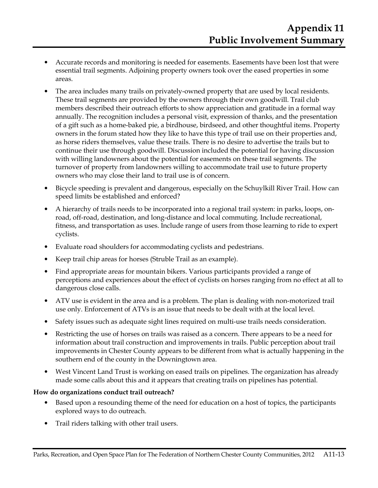- Accurate records and monitoring is needed for easements. Easements have been lost that were essential trail segments. Adjoining property owners took over the eased properties in some areas.
- The area includes many trails on privately-owned property that are used by local residents. These trail segments are provided by the owners through their own goodwill. Trail club members described their outreach efforts to show appreciation and gratitude in a formal way annually. The recognition includes a personal visit, expression of thanks, and the presentation of a gift such as a home-baked pie, a birdhouse, birdseed, and other thoughtful items. Property owners in the forum stated how they like to have this type of trail use on their properties and, as horse riders themselves, value these trails. There is no desire to advertise the trails but to continue their use through goodwill. Discussion included the potential for having discussion with willing landowners about the potential for easements on these trail segments. The turnover of property from landowners willing to accommodate trail use to future property owners who may close their land to trail use is of concern.
- Bicycle speeding is prevalent and dangerous, especially on the Schuylkill River Trail. How can speed limits be established and enforced?
- A hierarchy of trails needs to be incorporated into a regional trail system: in parks, loops, onroad, off-road, destination, and long-distance and local commuting. Include recreational, fitness, and transportation as uses. Include range of users from those learning to ride to expert cyclists.
- Evaluate road shoulders for accommodating cyclists and pedestrians.
- Keep trail chip areas for horses (Struble Trail as an example).
- Find appropriate areas for mountain bikers. Various participants provided a range of perceptions and experiences about the effect of cyclists on horses ranging from no effect at all to dangerous close calls.
- ATV use is evident in the area and is a problem. The plan is dealing with non-motorized trail use only. Enforcement of ATVs is an issue that needs to be dealt with at the local level.
- Safety issues such as adequate sight lines required on multi-use trails needs consideration.
- Restricting the use of horses on trails was raised as a concern. There appears to be a need for information about trail construction and improvements in trails. Public perception about trail improvements in Chester County appears to be different from what is actually happening in the southern end of the county in the Downingtown area.
- West Vincent Land Trust is working on eased trails on pipelines. The organization has already made some calls about this and it appears that creating trails on pipelines has potential.

#### **How do organizations conduct trail outreach?**

- Based upon a resounding theme of the need for education on a host of topics, the participants explored ways to do outreach.
- Trail riders talking with other trail users.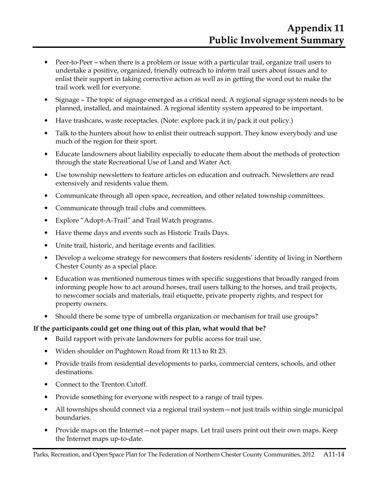- Peer-to-Peer when there is a problem or issue with a particular trail, organize trail users to undertake a positive, organized, friendly outreach to inform trail users about issues and to enlist their support in taking corrective action as well as in getting the word out to make the trail work well for everyone.
- Signage The topic of signage emerged as a critical need. A regional signage system needs to be planned, installed, and maintained. A regional identity system appeared to be important.
- Have trashcans, waste receptacles. (Note: explore pack it in/pack it out policy.)
- Talk to the hunters about how to enlist their outreach support. They know everybody and use much of the region for their sport.
- Educate landowners about liability especially to educate them about the methods of protection through the state Recreational Use of Land and Water Act.
- Use township newsletters to feature articles on education and outreach. Newsletters are read extensively and residents value them.
- Communicate through all open space, recreation, and other related township committees.
- Communicate through trail clubs and committees.
- Explore "Adopt-A-Trail" and Trail Watch programs.
- Have theme days and events such as Historic Trails Days.
- Unite trail, historic, and heritage events and facilities.
- Develop a welcome strategy for newcomers that fosters residents' identity of living in Northern Chester County as a special place.
- Education was mentioned numerous times with specific suggestions that broadly ranged from informing people how to act around horses, trail users talking to the horses, and trail projects, to newcomer socials and materials, trail etiquette, private property rights, and respect for property owners.
- Should there be some type of umbrella organization or mechanism for trail use groups?

## **If the participants could get one thing out of this plan, what would that be?**

- Build rapport with private landowners for public access for trail use.
- Widen shoulder on Pughtown Road from Rt 113 to Rt 23.
- Provide trails from residential developments to parks, commercial centers, schools, and other destinations.
- Connect to the Trenton Cutoff.
- Provide something for everyone with respect to a range of trail types.
- All townships should connect via a regional trail system not just trails within single municipal boundaries.
- Provide maps on the Internet—not paper maps. Let trail users print out their own maps. Keep the Internet maps up-to-date.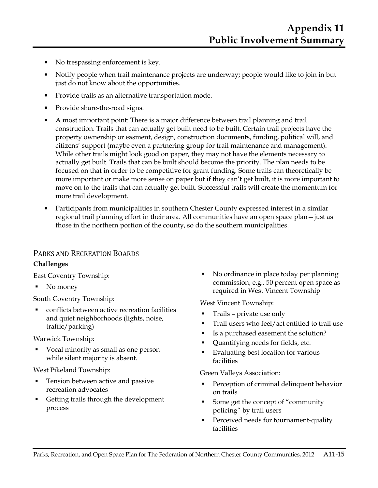- No trespassing enforcement is key.
- Notify people when trail maintenance projects are underway; people would like to join in but just do not know about the opportunities.
- Provide trails as an alternative transportation mode.
- Provide share-the-road signs.
- A most important point: There is a major difference between trail planning and trail construction. Trails that can actually get built need to be built. Certain trail projects have the property ownership or easment, design, construction documents, funding, political will, and citizens' support (maybe even a partnering group for trail maintenance and management). While other trails might look good on paper, they may not have the elements necessary to actually get built. Trails that can be built should become the priority. The plan needs to be focused on that in order to be competitive for grant funding. Some trails can theoretically be more important or make more sense on paper but if they can't get built, it is more important to move on to the trails that can actually get built. Successful trails will create the momentum for more trail development.
- Participants from municipalities in southern Chester County expressed interest in a similar regional trail planning effort in their area. All communities have an open space plan—just as those in the northern portion of the county, so do the southern municipalities.

## PARKS AND RECREATION BOARDS

#### **Challenges**

East Coventry Township:

• No money

South Coventry Township:

■ conflicts between active recreation facilities and quiet neighborhoods (lights, noise, traffic/parking)

Warwick Township:

 Vocal minority as small as one person while silent majority is absent.

West Pikeland Township:

- **Tension between active and passive** recreation advocates
- Getting trails through the development process

No ordinance in place today per planning commission, e.g., 50 percent open space as required in West Vincent Township

West Vincent Township:

- Trails private use only
- Trail users who feel/act entitled to trail use
- Is a purchased easement the solution?
- Quantifying needs for fields, etc.
- Evaluating best location for various facilities

Green Valleys Association:

- Perception of criminal delinquent behavior on trails
- Some get the concept of "community policing" by trail users
- **Perceived needs for tournament-quality** facilities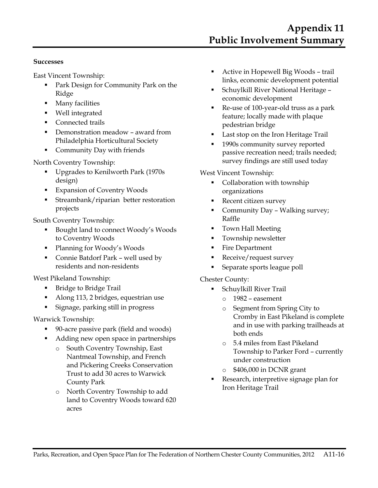#### **Successes**

East Vincent Township:

- Park Design for Community Park on the Ridge
- **Many facilities**
- Well integrated
- **Connected trails**
- Demonstration meadow award from Philadelphia Horticultural Society
- **Community Day with friends**

#### North Coventry Township:

- Upgrades to Kenilworth Park (1970s design)
- **Expansion of Coventry Woods**
- Streambank/riparian better restoration projects

South Coventry Township:

- Bought land to connect Woody's Woods to Coventry Woods
- Planning for Woody's Woods
- Connie Batdorf Park well used by residents and non-residents

West Pikeland Township:

- Bridge to Bridge Trail
- Along 113, 2 bridges, equestrian use
- Signage, parking still in progress

Warwick Township:

- 90-acre passive park (field and woods)
- Adding new open space in partnerships
	- o South Coventry Township, East Nantmeal Township, and French and Pickering Creeks Conservation Trust to add 30 acres to Warwick County Park
	- o North Coventry Township to add land to Coventry Woods toward 620 acres
- Active in Hopewell Big Woods trail links, economic development potential
- Schuylkill River National Heritage economic development
- Re-use of 100-year-old truss as a park feature; locally made with plaque pedestrian bridge
- **Last stop on the Iron Heritage Trail**
- 1990s community survey reported passive recreation need; trails needed; survey findings are still used today

#### West Vincent Township:

- Collaboration with township organizations
- Recent citizen survey
- Community Day Walking survey; Raffle
- **Town Hall Meeting**
- **Township newsletter**
- Fire Department
- Receive/request survey
- Separate sports league poll

#### Chester County:

- Schuylkill River Trail
	- o 1982 easement
	- o Segment from Spring City to Cromby in East Pikeland is complete and in use with parking trailheads at both ends
	- o 5.4 miles from East Pikeland Township to Parker Ford – currently under construction
	- o \$406,000 in DCNR grant
- Research, interpretive signage plan for Iron Heritage Trail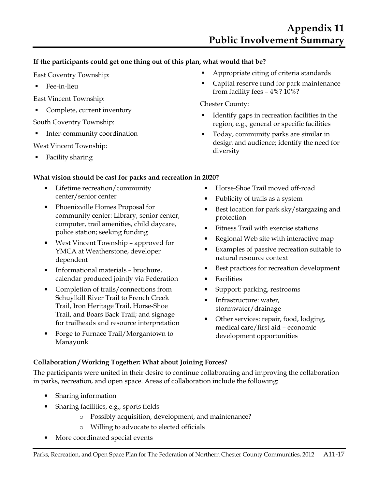## **If the participants could get one thing out of this plan, what would that be?**

East Coventry Township:

■ Fee-in-lieu

East Vincent Township:

Complete, current inventory

South Coventry Township:

Inter-community coordination

West Vincent Township:

Facility sharing

## **What vision should be cast for parks and recreation in 2020?**

- Lifetime recreation/community center/senior center
- Phoenixville Homes Proposal for community center: Library, senior center, computer, trail amenities, child daycare, police station; seeking funding
- West Vincent Township approved for YMCA at Weatherstone, developer dependent
- Informational materials brochure, calendar produced jointly via Federation
- Completion of trails/connections from Schuylkill River Trail to French Creek Trail, Iron Heritage Trail, Horse-Shoe Trail, and Boars Back Trail; and signage for trailheads and resource interpretation
- Forge to Furnace Trail/Morgantown to Manayunk
- Appropriate citing of criteria standards
- Capital reserve fund for park maintenance from facility fees – 4%? 10%?

## Chester County:

- Identify gaps in recreation facilities in the region, e.g., general or specific facilities
- Today, community parks are similar in design and audience; identify the need for diversity
- Horse-Shoe Trail moved off-road
- Publicity of trails as a system
- Best location for park sky/stargazing and protection
- Fitness Trail with exercise stations
- Regional Web site with interactive map
- Examples of passive recreation suitable to natural resource context
- Best practices for recreation development
- Facilities
- Support: parking, restrooms
- Infrastructure: water, stormwater/drainage
- Other services: repair, food, lodging, medical care/first aid – economic development opportunities

## **Collaboration / Working Together: What about Joining Forces?**

The participants were united in their desire to continue collaborating and improving the collaboration in parks, recreation, and open space. Areas of collaboration include the following:

- Sharing information
- Sharing facilities, e.g., sports fields
	- o Possibly acquisition, development, and maintenance?
	- o Willing to advocate to elected officials
- More coordinated special events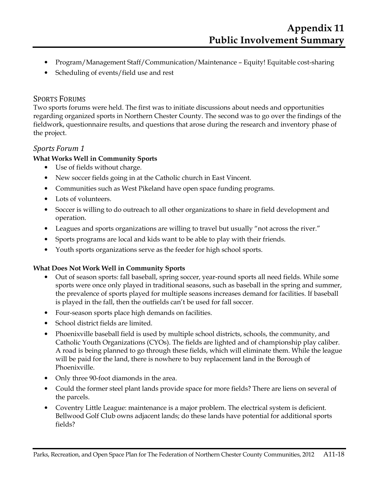- Program/Management Staff/Communication/Maintenance Equity! Equitable cost-sharing
- Scheduling of events/field use and rest

## SPORTS FORUMS

Two sports forums were held. The first was to initiate discussions about needs and opportunities regarding organized sports in Northern Chester County. The second was to go over the findings of the fieldwork, questionnaire results, and questions that arose during the research and inventory phase of the project.

## *Sports Forum 1*

#### **What Works Well in Community Sports**

- Use of fields without charge.
- New soccer fields going in at the Catholic church in East Vincent.
- Communities such as West Pikeland have open space funding programs.
- Lots of volunteers.
- Soccer is willing to do outreach to all other organizations to share in field development and operation.
- Leagues and sports organizations are willing to travel but usually "not across the river."
- Sports programs are local and kids want to be able to play with their friends.
- Youth sports organizations serve as the feeder for high school sports.

#### **What Does Not Work Well in Community Sports**

- Out of season sports: fall baseball, spring soccer, year-round sports all need fields. While some sports were once only played in traditional seasons, such as baseball in the spring and summer, the prevalence of sports played for multiple seasons increases demand for facilities. If baseball is played in the fall, then the outfields can't be used for fall soccer.
- Four-season sports place high demands on facilities.
- School district fields are limited.
- Phoenixville baseball field is used by multiple school districts, schools, the community, and Catholic Youth Organizations (CYOs). The fields are lighted and of championship play caliber. A road is being planned to go through these fields, which will eliminate them. While the league will be paid for the land, there is nowhere to buy replacement land in the Borough of Phoenixville.
- Only three 90-foot diamonds in the area.
- Could the former steel plant lands provide space for more fields? There are liens on several of the parcels.
- Coventry Little League: maintenance is a major problem. The electrical system is deficient. Bellwood Golf Club owns adjacent lands; do these lands have potential for additional sports fields?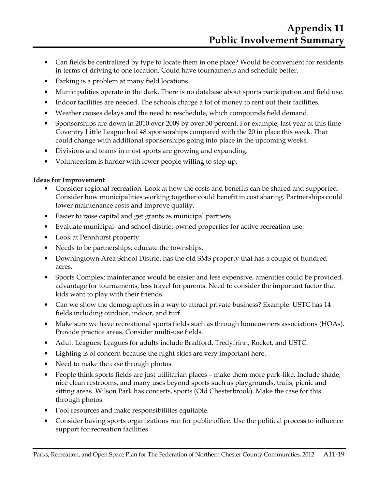- Can fields be centralized by type to locate them in one place? Would be convenient for residents in terms of driving to one location. Could have tournaments and schedule better.
- Parking is a problem at many field locations.
- Municipalities operate in the dark. There is no database about sports participation and field use.
- Indoor facilities are needed. The schools charge a lot of money to rent out their facilities.
- Weather causes delays and the need to reschedule, which compounds field demand.
- Sponsorships are down in 2010 over 2009 by over 50 percent. For example, last year at this time Coventry Little League had 48 sponsorships compared with the 20 in place this week. That could change with additional sponsorships going into place in the upcoming weeks.
- Divisions and teams in most sports are growing and expanding.
- Volunteerism is harder with fewer people willing to step up.

#### **Ideas for Improvement**

- Consider regional recreation. Look at how the costs and benefits can be shared and supported. Consider how municipalities working together could benefit in cost sharing. Partnerships could lower maintenance costs and improve quality.
- Easier to raise capital and get grants as municipal partners.
- Evaluate municipal- and school district-owned properties for active recreation use.
- Look at Pennhurst property.
- Needs to be partnerships; educate the townships.
- Downingtown Area School District has the old SMS property that has a couple of hundred acres.
- Sports Complex: maintenance would be easier and less expensive, amenities could be provided, advantage for tournaments, less travel for parents. Need to consider the important factor that kids want to play with their friends.
- Can we show the demographics in a way to attract private business? Example: USTC has 14 fields including outdoor, indoor, and turf.
- Make sure we have recreational sports fields such as through homeowners associations (HOAs). Provide practice areas. Consider multi-use fields.
- Adult Leagues: Leagues for adults include Bradford, Tredyfrinn, Rocket, and USTC.
- Lighting is of concern because the night skies are very important here.
- Need to make the case through photos.
- People think sports fields are just utilitarian places make them more park-like. Include shade, nice clean restrooms, and many uses beyond sports such as playgrounds, trails, picnic and sitting areas. Wilson Park has concerts, sports (Old Chesterbrook). Make the case for this through photos.
- Pool resources and make responsibilities equitable.
- Consider having sports organizations run for public office. Use the political process to influence support for recreation facilities.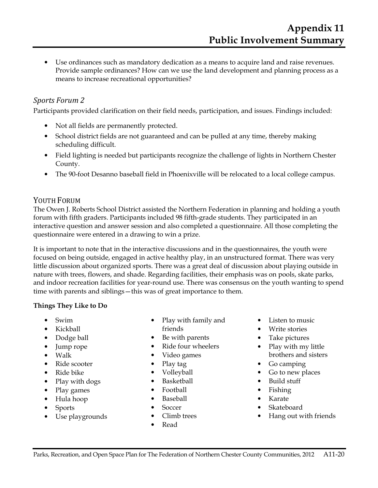• Use ordinances such as mandatory dedication as a means to acquire land and raise revenues. Provide sample ordinances? How can we use the land development and planning process as a means to increase recreational opportunities?

## *Sports Forum 2*

Participants provided clarification on their field needs, participation, and issues. Findings included:

- Not all fields are permanently protected.
- School district fields are not guaranteed and can be pulled at any time, thereby making scheduling difficult.
- Field lighting is needed but participants recognize the challenge of lights in Northern Chester County.
- The 90-foot Desanno baseball field in Phoenixville will be relocated to a local college campus.

## YOUTH FORUM

The Owen J. Roberts School District assisted the Northern Federation in planning and holding a youth forum with fifth graders. Participants included 98 fifth-grade students. They participated in an interactive question and answer session and also completed a questionnaire. All those completing the questionnaire were entered in a drawing to win a prize.

It is important to note that in the interactive discussions and in the questionnaires, the youth were focused on being outside, engaged in active healthy play, in an unstructured format. There was very little discussion about organized sports. There was a great deal of discussion about playing outside in nature with trees, flowers, and shade. Regarding facilities, their emphasis was on pools, skate parks, and indoor recreation facilities for year-round use. There was consensus on the youth wanting to spend time with parents and siblings—this was of great importance to them.

#### **Things They Like to Do**

- Swim
- Kickball
- Dodge ball
- Jump rope
- Walk
- Ride scooter
- Ride bike
- Play with dogs
- Play games
- Hula hoop
- Sports
- Use playgrounds
- Play with family and friends
- Be with parents
- Ride four wheelers
- Video games
- Play tag
- Volleyball
- Basketball
- Football
- Baseball
- Soccer
- Climb trees
- Read
- Listen to music
- Write stories
- Take pictures
- Play with my little brothers and sisters
- Go camping
- Go to new places
- Build stuff
- Fishing
- Karate
- Skateboard
- Hang out with friends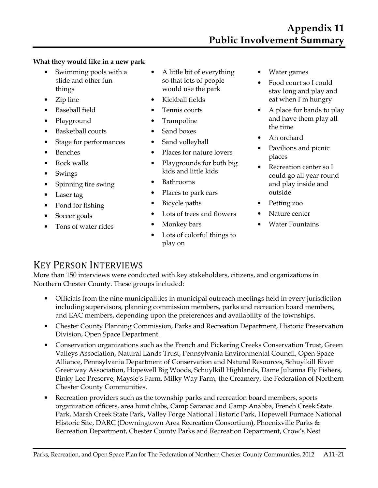#### **What they would like in a new park**

- Swimming pools with a slide and other fun things
- Zip line
- Baseball field
- Playground
- Basketball courts
- Stage for performances
- Benches
- Rock walls
- Swings
- Spinning tire swing
- Laser tag
- Pond for fishing
- Soccer goals
- Tons of water rides
- A little bit of everything so that lots of people would use the park
- Kickball fields
- Tennis courts
- Trampoline
- Sand boxes
- Sand volleyball
- Places for nature lovers
- Playgrounds for both big kids and little kids
- Bathrooms
- Places to park cars
- Bicycle paths
- Lots of trees and flowers
- Monkey bars
- Lots of colorful things to play on
- Water games
- Food court so I could stay long and play and eat when I'm hungry
- A place for bands to play and have them play all the time
- An orchard
- Pavilions and picnic places
- Recreation center so I could go all year round and play inside and outside
- Petting zoo
- Nature center
- Water Fountains

## KEY PERSON INTERVIEWS

More than 150 interviews were conducted with key stakeholders, citizens, and organizations in Northern Chester County. These groups included:

- Officials from the nine municipalities in municipal outreach meetings held in every jurisdiction including supervisors, planning commission members, parks and recreation board members, and EAC members, depending upon the preferences and availability of the townships.
- Chester County Planning Commission, Parks and Recreation Department, Historic Preservation Division, Open Space Department.
- Conservation organizations such as the French and Pickering Creeks Conservation Trust, Green Valleys Association, Natural Lands Trust, Pennsylvania Environmental Council, Open Space Alliance, Pennsylvania Department of Conservation and Natural Resources, Schuylkill River Greenway Association, Hopewell Big Woods, Schuylkill Highlands, Dame Julianna Fly Fishers, Binky Lee Preserve, Maysie's Farm, Milky Way Farm, the Creamery, the Federation of Northern Chester County Communities.
- Recreation providers such as the township parks and recreation board members, sports organization officers, area hunt clubs, Camp Saranac and Camp Anabba, French Creek State Park, Marsh Creek State Park, Valley Forge National Historic Park, Hopewell Furnace National Historic Site, DARC (Downingtown Area Recreation Consortium), Phoenixville Parks & Recreation Department, Chester County Parks and Recreation Department, Crow's Nest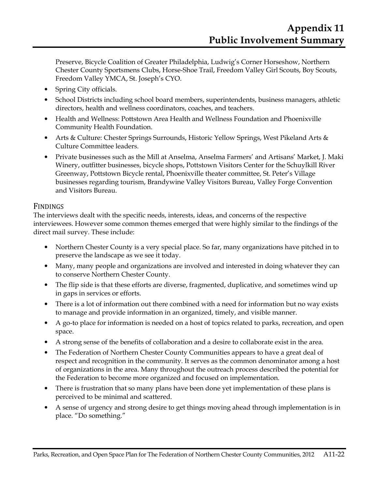Preserve, Bicycle Coalition of Greater Philadelphia, Ludwig's Corner Horseshow, Northern Chester County Sportsmens Clubs, Horse-Shoe Trail, Freedom Valley Girl Scouts, Boy Scouts, Freedom Valley YMCA, St. Joseph's CYO.

- Spring City officials.
- School Districts including school board members, superintendents, business managers, athletic directors, health and wellness coordinators, coaches, and teachers.
- Health and Wellness: Pottstown Area Health and Wellness Foundation and Phoenixville Community Health Foundation.
- Arts & Culture: Chester Springs Surrounds, Historic Yellow Springs, West Pikeland Arts & Culture Committee leaders.
- Private businesses such as the Mill at Anselma, Anselma Farmers' and Artisans' Market, J. Maki Winery, outfitter businesses, bicycle shops, Pottstown Visitors Center for the Schuylkill River Greenway, Pottstown Bicycle rental, Phoenixville theater committee, St. Peter's Village businesses regarding tourism, Brandywine Valley Visitors Bureau, Valley Forge Convention and Visitors Bureau.

## FINDINGS

The interviews dealt with the specific needs, interests, ideas, and concerns of the respective interviewees. However some common themes emerged that were highly similar to the findings of the direct mail survey. These include:

- Northern Chester County is a very special place. So far, many organizations have pitched in to preserve the landscape as we see it today.
- Many, many people and organizations are involved and interested in doing whatever they can to conserve Northern Chester County.
- The flip side is that these efforts are diverse, fragmented, duplicative, and sometimes wind up in gaps in services or efforts.
- There is a lot of information out there combined with a need for information but no way exists to manage and provide information in an organized, timely, and visible manner.
- A go-to place for information is needed on a host of topics related to parks, recreation, and open space.
- A strong sense of the benefits of collaboration and a desire to collaborate exist in the area.
- The Federation of Northern Chester County Communities appears to have a great deal of respect and recognition in the community. It serves as the common denominator among a host of organizations in the area. Many throughout the outreach process described the potential for the Federation to become more organized and focused on implementation.
- There is frustration that so many plans have been done yet implementation of these plans is perceived to be minimal and scattered.
- A sense of urgency and strong desire to get things moving ahead through implementation is in place. "Do something."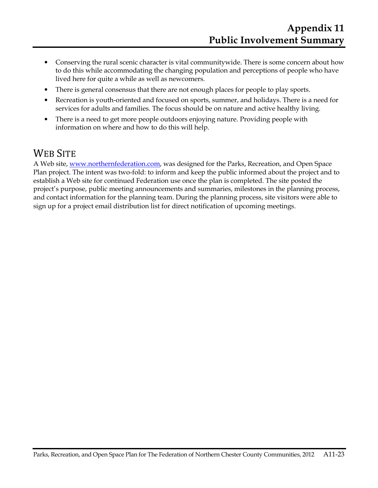- Conserving the rural scenic character is vital communitywide. There is some concern about how to do this while accommodating the changing population and perceptions of people who have lived here for quite a while as well as newcomers.
- There is general consensus that there are not enough places for people to play sports.
- Recreation is youth-oriented and focused on sports, summer, and holidays. There is a need for services for adults and families. The focus should be on nature and active healthy living.
- There is a need to get more people outdoors enjoying nature. Providing people with information on where and how to do this will help.

## WEB SITE

A Web site, www.northernfederation.com, was designed for the Parks, Recreation, and Open Space Plan project. The intent was two-fold: to inform and keep the public informed about the project and to establish a Web site for continued Federation use once the plan is completed. The site posted the project's purpose, public meeting announcements and summaries, milestones in the planning process, and contact information for the planning team. During the planning process, site visitors were able to sign up for a project email distribution list for direct notification of upcoming meetings.